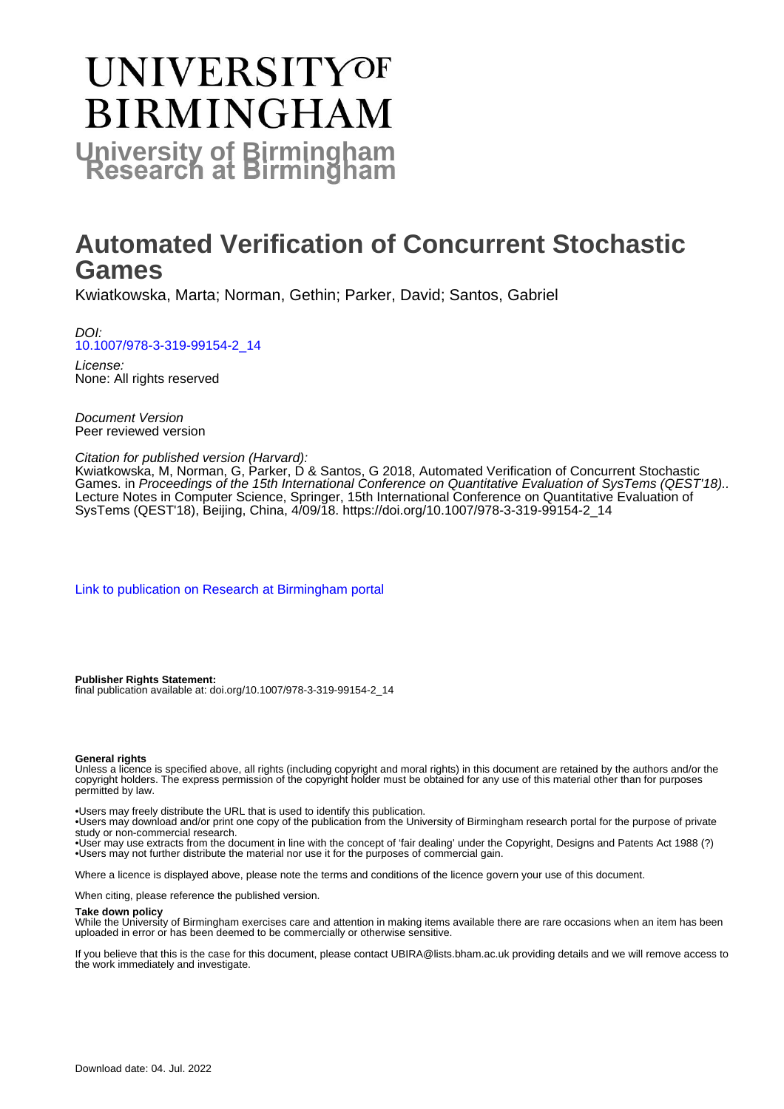# **UNIVERSITYOF BIRMINGHAM University of Birmingham**

# **Automated Verification of Concurrent Stochastic Games**

Kwiatkowska, Marta; Norman, Gethin; Parker, David; Santos, Gabriel

DOI: [10.1007/978-3-319-99154-2\\_14](https://doi.org/10.1007/978-3-319-99154-2_14)

License: None: All rights reserved

Document Version Peer reviewed version

# Citation for published version (Harvard):

Kwiatkowska, M, Norman, G, Parker, D & Santos, G 2018, Automated Verification of Concurrent Stochastic Games. in Proceedings of the 15th International Conference on Quantitative Evaluation of SysTems (QEST'18).. Lecture Notes in Computer Science, Springer, 15th International Conference on Quantitative Evaluation of SysTems (QEST'18), Beijing, China, 4/09/18. [https://doi.org/10.1007/978-3-319-99154-2\\_14](https://doi.org/10.1007/978-3-319-99154-2_14)

[Link to publication on Research at Birmingham portal](https://birmingham.elsevierpure.com/en/publications/6d1f0f80-896e-4dca-b071-aecdca6ebf1a)

**Publisher Rights Statement:** final publication available at: doi.org/10.1007/978-3-319-99154-2\_14

#### **General rights**

Unless a licence is specified above, all rights (including copyright and moral rights) in this document are retained by the authors and/or the copyright holders. The express permission of the copyright holder must be obtained for any use of this material other than for purposes permitted by law.

• Users may freely distribute the URL that is used to identify this publication.

• Users may download and/or print one copy of the publication from the University of Birmingham research portal for the purpose of private study or non-commercial research.

• User may use extracts from the document in line with the concept of 'fair dealing' under the Copyright, Designs and Patents Act 1988 (?) • Users may not further distribute the material nor use it for the purposes of commercial gain.

Where a licence is displayed above, please note the terms and conditions of the licence govern your use of this document.

When citing, please reference the published version.

#### **Take down policy**

While the University of Birmingham exercises care and attention in making items available there are rare occasions when an item has been uploaded in error or has been deemed to be commercially or otherwise sensitive.

If you believe that this is the case for this document, please contact UBIRA@lists.bham.ac.uk providing details and we will remove access to the work immediately and investigate.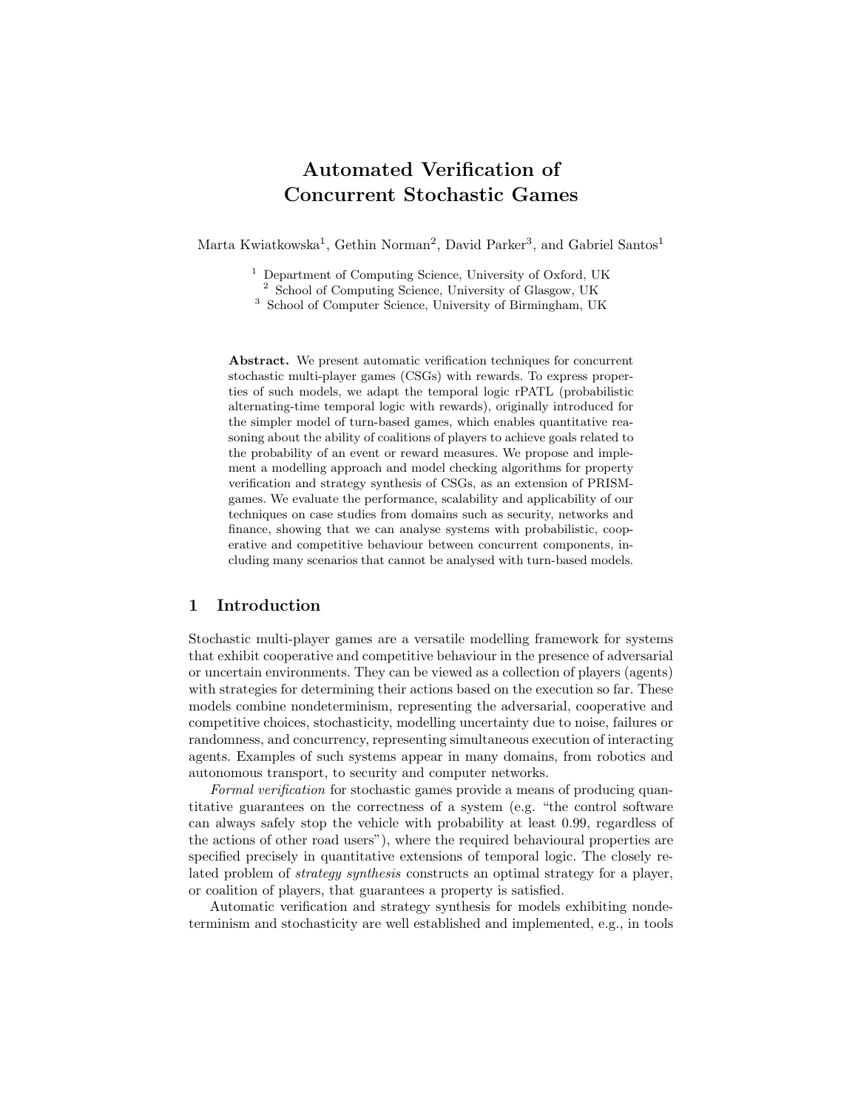# Automated Verification of Concurrent Stochastic Games

Marta Kwiatkowska<sup>1</sup>, Gethin Norman<sup>2</sup>, David Parker<sup>3</sup>, and Gabriel Santos<sup>1</sup>

- $^{\rm 1}$  Department of Computing Science, University of Oxford, UK
- <sup>2</sup> School of Computing Science, University of Glasgow, UK
- <sup>3</sup> School of Computer Science, University of Birmingham, UK

Abstract. We present automatic verification techniques for concurrent stochastic multi-player games (CSGs) with rewards. To express properties of such models, we adapt the temporal logic rPATL (probabilistic alternating-time temporal logic with rewards), originally introduced for the simpler model of turn-based games, which enables quantitative reasoning about the ability of coalitions of players to achieve goals related to the probability of an event or reward measures. We propose and implement a modelling approach and model checking algorithms for property verification and strategy synthesis of CSGs, as an extension of PRISMgames. We evaluate the performance, scalability and applicability of our techniques on case studies from domains such as security, networks and finance, showing that we can analyse systems with probabilistic, cooperative and competitive behaviour between concurrent components, including many scenarios that cannot be analysed with turn-based models.

#### 1 Introduction

Stochastic multi-player games are a versatile modelling framework for systems that exhibit cooperative and competitive behaviour in the presence of adversarial or uncertain environments. They can be viewed as a collection of players (agents) with strategies for determining their actions based on the execution so far. These models combine nondeterminism, representing the adversarial, cooperative and competitive choices, stochasticity, modelling uncertainty due to noise, failures or randomness, and concurrency, representing simultaneous execution of interacting agents. Examples of such systems appear in many domains, from robotics and autonomous transport, to security and computer networks.

Formal verification for stochastic games provide a means of producing quantitative guarantees on the correctness of a system (e.g. "the control software can always safely stop the vehicle with probability at least 0.99, regardless of the actions of other road users"), where the required behavioural properties are specified precisely in quantitative extensions of temporal logic. The closely related problem of strategy synthesis constructs an optimal strategy for a player, or coalition of players, that guarantees a property is satisfied.

Automatic verification and strategy synthesis for models exhibiting nondeterminism and stochasticity are well established and implemented, e.g., in tools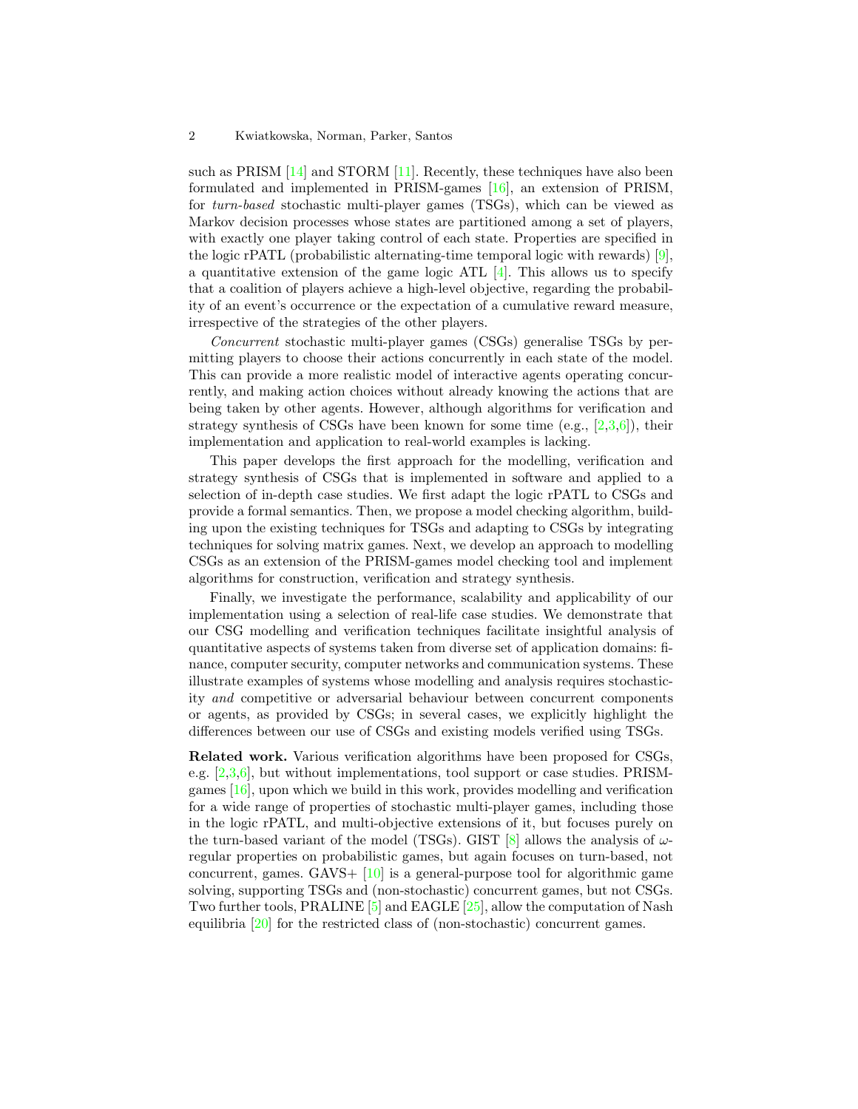such as PRISM [\[14\]](#page-16-0) and STORM [\[11\]](#page-16-1). Recently, these techniques have also been formulated and implemented in PRISM-games [\[16\]](#page-16-2), an extension of PRISM, for turn-based stochastic multi-player games (TSGs), which can be viewed as Markov decision processes whose states are partitioned among a set of players, with exactly one player taking control of each state. Properties are specified in the logic rPATL (probabilistic alternating-time temporal logic with rewards) [\[9\]](#page-16-3), a quantitative extension of the game logic ATL [\[4\]](#page-16-4). This allows us to specify that a coalition of players achieve a high-level objective, regarding the probability of an event's occurrence or the expectation of a cumulative reward measure, irrespective of the strategies of the other players.

Concurrent stochastic multi-player games (CSGs) generalise TSGs by permitting players to choose their actions concurrently in each state of the model. This can provide a more realistic model of interactive agents operating concurrently, and making action choices without already knowing the actions that are being taken by other agents. However, although algorithms for verification and strategy synthesis of CSGs have been known for some time  $(e.g., [2,3,6])$  $(e.g., [2,3,6])$  $(e.g., [2,3,6])$  $(e.g., [2,3,6])$  $(e.g., [2,3,6])$ , their implementation and application to real-world examples is lacking.

This paper develops the first approach for the modelling, verification and strategy synthesis of CSGs that is implemented in software and applied to a selection of in-depth case studies. We first adapt the logic rPATL to CSGs and provide a formal semantics. Then, we propose a model checking algorithm, building upon the existing techniques for TSGs and adapting to CSGs by integrating techniques for solving matrix games. Next, we develop an approach to modelling CSGs as an extension of the PRISM-games model checking tool and implement algorithms for construction, verification and strategy synthesis.

Finally, we investigate the performance, scalability and applicability of our implementation using a selection of real-life case studies. We demonstrate that our CSG modelling and verification techniques facilitate insightful analysis of quantitative aspects of systems taken from diverse set of application domains: finance, computer security, computer networks and communication systems. These illustrate examples of systems whose modelling and analysis requires stochasticity and competitive or adversarial behaviour between concurrent components or agents, as provided by CSGs; in several cases, we explicitly highlight the differences between our use of CSGs and existing models verified using TSGs.

Related work. Various verification algorithms have been proposed for CSGs, e.g. [\[2,](#page-16-5)[3,](#page-16-6)[6\]](#page-16-7), but without implementations, tool support or case studies. PRISMgames [\[16\]](#page-16-2), upon which we build in this work, provides modelling and verification for a wide range of properties of stochastic multi-player games, including those in the logic rPATL, and multi-objective extensions of it, but focuses purely on the turn-based variant of the model (TSGs). GIST  $[8]$  allows the analysis of  $\omega$ regular properties on probabilistic games, but again focuses on turn-based, not concurrent, games. GAVS $+$  [\[10\]](#page-16-9) is a general-purpose tool for algorithmic game solving, supporting TSGs and (non-stochastic) concurrent games, but not CSGs. Two further tools, PRALINE [\[5\]](#page-16-10) and EAGLE [\[25\]](#page-16-11), allow the computation of Nash equilibria [\[20\]](#page-16-12) for the restricted class of (non-stochastic) concurrent games.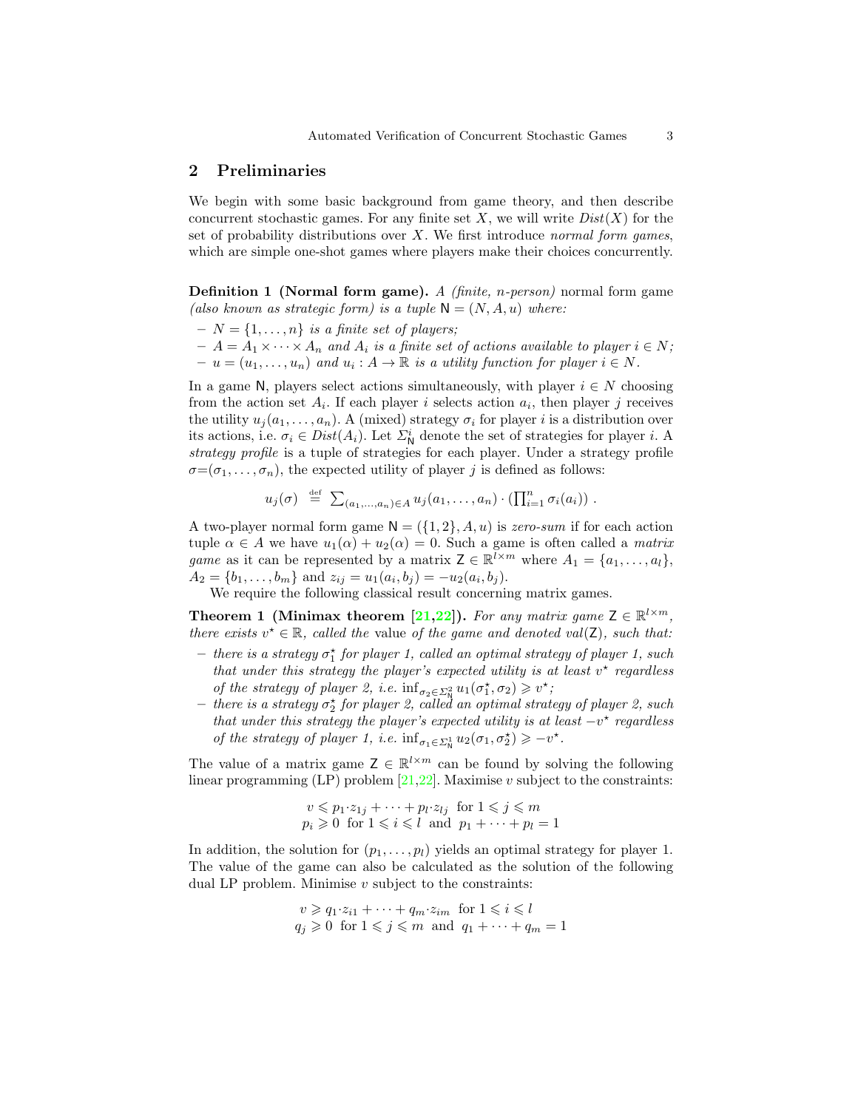#### <span id="page-3-0"></span>2 Preliminaries

We begin with some basic background from game theory, and then describe concurrent stochastic games. For any finite set X, we will write  $Dist(X)$  for the set of probability distributions over  $X$ . We first introduce normal form games, which are simple one-shot games where players make their choices concurrently.

**Definition 1** (Normal form game). A *(finite, n-person)* normal form game (also known as strategic form) is a tuple  $N = (N, A, u)$  where:

- $-N = \{1, \ldots, n\}$  is a finite set of players;
- $A = A_1 \times \cdots \times A_n$  and  $A_i$  is a finite set of actions available to player  $i \in N$ ;
- $-u=(u_1,\ldots,u_n)$  and  $u_i: A\to \mathbb{R}$  is a utility function for player  $i\in N$ .

In a game N, players select actions simultaneously, with player  $i \in N$  choosing from the action set  $A_i$ . If each player i selects action  $a_i$ , then player j receives the utility  $u_i(a_1, \ldots, a_n)$ . A (mixed) strategy  $\sigma_i$  for player i is a distribution over its actions, i.e.  $\sigma_i \in Dist(A_i)$ . Let  $\Sigma_N^i$  denote the set of strategies for player *i*. A strategy profile is a tuple of strategies for each player. Under a strategy profile  $\sigma = (\sigma_1, \ldots, \sigma_n)$ , the expected utility of player j is defined as follows:

$$
u_j(\sigma) \stackrel{\text{def}}{=} \sum_{(a_1,\ldots,a_n)\in A} u_j(a_1,\ldots,a_n) \cdot (\prod_{i=1}^n \sigma_i(a_i)) \; .
$$

A two-player normal form game  $N = (\{1, 2\}, A, u)$  is zero-sum if for each action tuple  $\alpha \in A$  we have  $u_1(\alpha) + u_2(\alpha) = 0$ . Such a game is often called a *matrix game* as it can be represented by a matrix  $\mathsf{Z} \in \mathbb{R}^{\tilde{l} \times m}$  where  $A_1 = \{a_1, \ldots, a_l\},\$  $A_2 = \{b_1, \ldots, b_m\}$  and  $z_{ij} = u_1(a_i, b_j) = -u_2(a_i, b_j).$ 

We require the following classical result concerning matrix games.

Theorem 1 (Minimax theorem [\[21,](#page-16-13)[22\]](#page-16-14)). For any matrix game  $Z \in \mathbb{R}^{l \times m}$ , there exists  $v^* \in \mathbb{R}$ , called the value of the game and denoted val(Z), such that:

- $-$  there is a strategy  $\sigma_1^*$  for player 1, called an optimal strategy of player 1, such that under this strategy the player's expected utility is at least  $v^*$  regardless of the strategy of player 2, i.e.  $\inf_{\sigma_2 \in \Sigma_N^2} u_1(\sigma_1^*, \sigma_2) \geq v^*$ ;
- $-$  there is a strategy  $\sigma_2^{\star}$  for player 2, called an optimal strategy of player 2, such that under this strategy the player's expected utility is at least  $-v^*$  regardless of the strategy of player 1, i.e.  $\inf_{\sigma_1 \in \Sigma_{\mathcal{N}}^1} u_2(\sigma_1, \sigma_2^{\star}) \geqslant -v^{\star}$ .

The value of a matrix game  $Z \in \mathbb{R}^{l \times m}$  can be found by solving the following linear programming  $(LP)$  problem  $[21,22]$  $[21,22]$ . Maximise v subject to the constraints:

$$
v \leq p_1 \cdot z_{1j} + \dots + p_l \cdot z_{lj} \text{ for } 1 \leq j \leq m
$$
  

$$
p_i \geq 0 \text{ for } 1 \leq i \leq l \text{ and } p_1 + \dots + p_l = 1
$$

In addition, the solution for  $(p_1, \ldots, p_l)$  yields an optimal strategy for player 1. The value of the game can also be calculated as the solution of the following dual LP problem. Minimise  $v$  subject to the constraints:

$$
v \geqslant q_1 \cdot z_{i1} + \dots + q_m \cdot z_{im} \text{ for } 1 \leqslant i \leqslant l
$$
  

$$
q_j \geqslant 0 \text{ for } 1 \leqslant j \leqslant m \text{ and } q_1 + \dots + q_m = 1
$$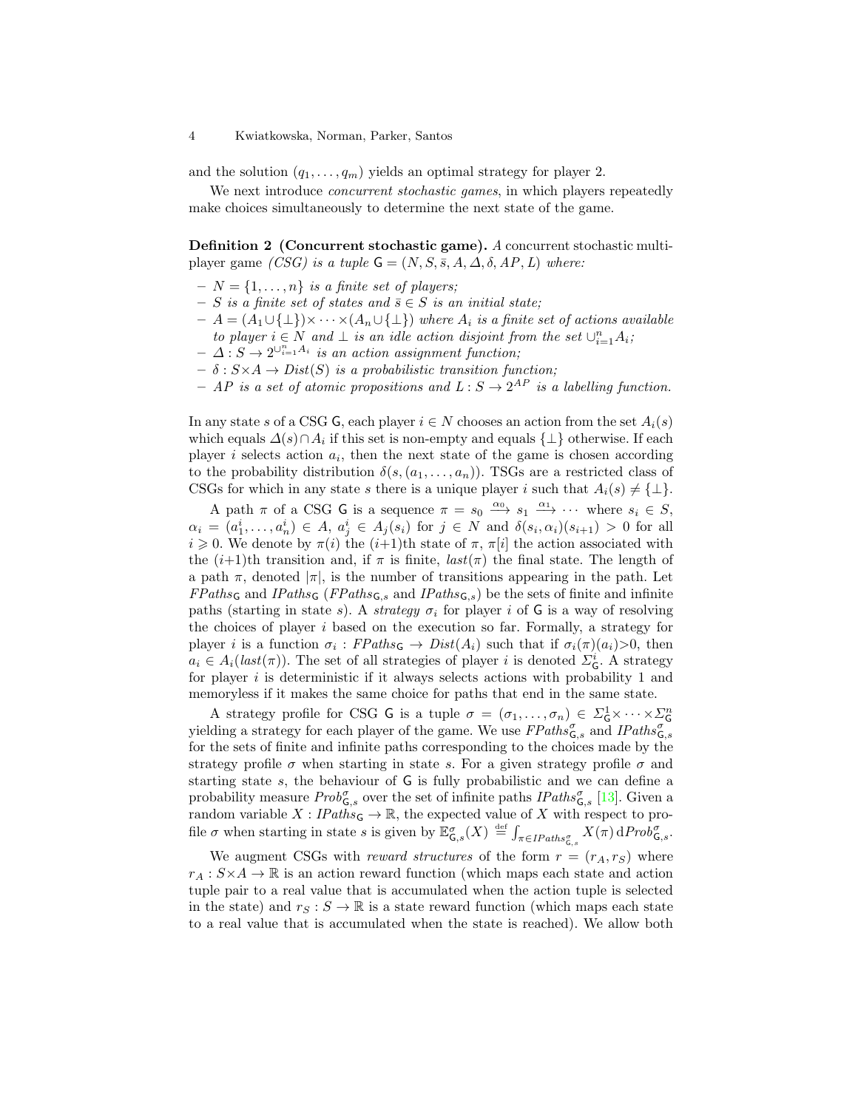#### 4 Kwiatkowska, Norman, Parker, Santos

and the solution  $(q_1, \ldots, q_m)$  yields an optimal strategy for player 2.

We next introduce *concurrent stochastic games*, in which players repeatedly make choices simultaneously to determine the next state of the game.

Definition 2 (Concurrent stochastic game). A concurrent stochastic multiplayer game (CSG) is a tuple  $\mathsf{G} = (N, S, \bar{s}, A, \Delta, \delta, AP, L)$  where:

- $-N = \{1, \ldots, n\}$  is a finite set of players;
- S is a finite set of states and  $\bar{s} \in S$  is an initial state;
- $A = (A_1 \cup \{\perp\}) \times \cdots \times (A_n \cup \{\perp\})$  where  $A_i$  is a finite set of actions available to player  $i \in N$  and  $\perp$  is an idle action disjoint from the set  $\cup_{i=1}^{n} A_i$ ;
- $\Delta: S \to 2^{\cup_{i=1}^{n} A_i}$  is an action assignment function;
- $\delta : S \times A \rightarrow Dist(S)$  is a probabilistic transition function;
- $-$  AP is a set of atomic propositions and  $L: S \to 2^{AP}$  is a labelling function.

In any state s of a CSG G, each player  $i \in N$  chooses an action from the set  $A_i(s)$ which equals  $\Delta(s) \cap A_i$  if this set is non-empty and equals  $\{\perp\}$  otherwise. If each player i selects action  $a_i$ , then the next state of the game is chosen according to the probability distribution  $\delta(s,(a_1,\ldots,a_n))$ . TSGs are a restricted class of CSGs for which in any state s there is a unique player i such that  $A_i(s) \neq {\perp}$ .

A path  $\pi$  of a CSG G is a sequence  $\pi = s_0 \xrightarrow{\alpha_0} s_1 \xrightarrow{\alpha_1} \cdots$  where  $s_i \in S$ ,  $\alpha_i = (a_1^i, \ldots, a_n^i) \in A, a_j^i \in A_j(s_i)$  for  $j \in N$  and  $\delta(s_i, \alpha_i)(s_{i+1}) > 0$  for all  $i \geq 0$ . We denote by  $\pi(i)$  the  $(i+1)$ th state of  $\pi$ ,  $\pi[i]$  the action associated with the  $(i+1)$ th transition and, if  $\pi$  is finite,  $last(\pi)$  the final state. The length of a path  $\pi$ , denoted  $|\pi|$ , is the number of transitions appearing in the path. Let  $FPaths_{\mathsf{G}}$  and  $Plaths_{\mathsf{G}}$  ( $FPaths_{\mathsf{G},s}$  and  $IPaths_{\mathsf{G},s}$ ) be the sets of finite and infinite paths (starting in state s). A strategy  $\sigma_i$  for player i of G is a way of resolving the choices of player i based on the execution so far. Formally, a strategy for player *i* is a function  $\sigma_i$ :  $FPaths \varsigma \rightarrow Dist(A_i)$  such that if  $\sigma_i(\pi)(a_i) > 0$ , then  $a_i \in A_i (last(\pi))$ . The set of all strategies of player i is denoted  $\Sigma_{\mathsf{G}}^i$ . A strategy for player  $i$  is deterministic if it always selects actions with probability 1 and memoryless if it makes the same choice for paths that end in the same state.

A strategy profile for CSG **G** is a tuple  $\sigma = (\sigma_1, \ldots, \sigma_n) \in \Sigma_{\mathsf{G}}^1 \times \cdots \times \Sigma_{\mathsf{G}}^n$ yielding a strategy for each player of the game. We use  $FPaths^{\sigma}_{\mathsf{G},s}$  and  $Plaths^{\sigma}_{\mathsf{G},s}$ for the sets of finite and infinite paths corresponding to the choices made by the strategy profile  $\sigma$  when starting in state s. For a given strategy profile  $\sigma$  and starting state s, the behaviour of G is fully probabilistic and we can define a probability measure  $Prob_{\mathsf{G},s}^{\sigma}$  over the set of infinite paths  $Plaths_{\mathsf{G},s}^{\sigma}$  [\[13\]](#page-16-15). Given a random variable  $X:$  IPaths<sub>G</sub>  $\rightarrow \mathbb{R}$ , the expected value of X with respect to profile  $\sigma$  when starting in state s is given by  $\mathbb{E}^{\sigma}_{\mathsf{G},s}(X) \stackrel{\text{def}}{=} \int_{\pi \in IPaths^{\sigma}_{\mathsf{G},s}} X(\pi) dProb^{\sigma}_{\mathsf{G},s}$ .

We augment CSGs with *reward structures* of the form  $r = (r_A, r_S)$  where  $r_A: S \times A \to \mathbb{R}$  is an action reward function (which maps each state and action tuple pair to a real value that is accumulated when the action tuple is selected in the state) and  $r_S : S \to \mathbb{R}$  is a state reward function (which maps each state to a real value that is accumulated when the state is reached). We allow both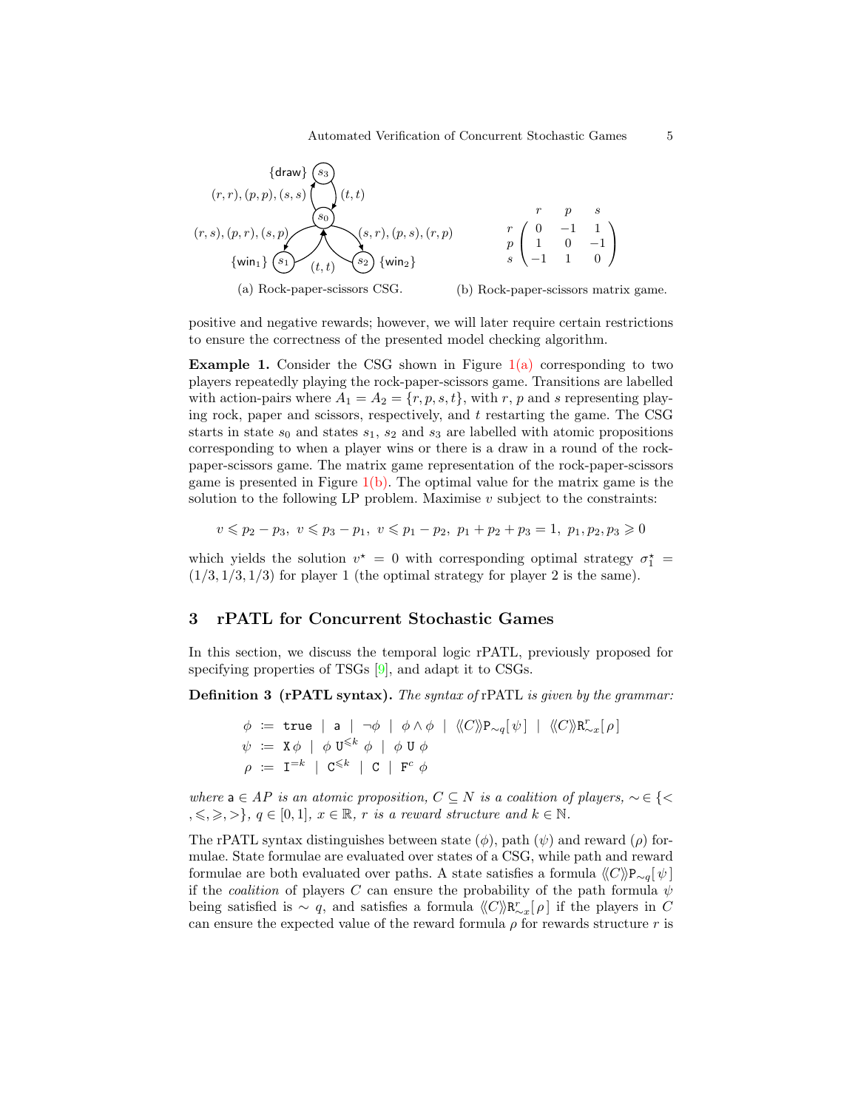<span id="page-5-0"></span>
$$
(r, r), (p, p), (s, s)
$$
\n
$$
(r, s), (p, r), (s, p)
$$
\n
$$
(s_0)
$$
\n
$$
(s, r), (p, s), (r, p)
$$
\n
$$
(s, r), (p, s), (r, p)
$$
\n
$$
r
$$
\n
$$
p
$$
\n
$$
\begin{pmatrix}\n0 & -1 & 1 \\
1 & 0 & -1 \\
-1 & 1 & 0\n\end{pmatrix}
$$
\n
$$
(a) Rock-paper-scissors CSG.
$$
\n(b) Rock-paper-scissors matrix game.

positive and negative rewards; however, we will later require certain restrictions to ensure the correctness of the presented model checking algorithm.

<span id="page-5-1"></span>**Example 1.** Consider the CSG shown in Figure  $1(a)$  corresponding to two players repeatedly playing the rock-paper-scissors game. Transitions are labelled with action-pairs where  $A_1 = A_2 = \{r, p, s, t\}$ , with r, p and s representing playing rock, paper and scissors, respectively, and t restarting the game. The CSG starts in state  $s_0$  and states  $s_1$ ,  $s_2$  and  $s_3$  are labelled with atomic propositions corresponding to when a player wins or there is a draw in a round of the rockpaper-scissors game. The matrix game representation of the rock-paper-scissors game is presented in Figure  $1(b)$ . The optimal value for the matrix game is the solution to the following LP problem. Maximise  $v$  subject to the constraints:

$$
v \leqslant p_2 - p_3, \ v \leqslant p_3 - p_1, \ v \leqslant p_1 - p_2, \ p_1 + p_2 + p_3 = 1, \ p_1, p_2, p_3 \geqslant 0
$$

which yields the solution  $v^* = 0$  with corresponding optimal strategy  $\sigma_1^* =$  $(1/3, 1/3, 1/3)$  for player 1 (the optimal strategy for player 2 is the same).

#### 3 rPATL for Concurrent Stochastic Games

In this section, we discuss the temporal logic rPATL, previously proposed for specifying properties of TSGs [\[9\]](#page-16-3), and adapt it to CSGs.

**Definition 3 (rPATL syntax).** The syntax of rPATL is given by the grammar:

 $\phi$  := true | a | ¬ $\phi$  |  $\phi \wedge \phi$  |  $\langle\!\langle C \rangle\!\rangle {\mathtt P}_{\sim q}[\psi]$  |  $\langle\!\langle C \rangle\!\rangle {\mathtt R}^r_{\sim x}[\rho]$  $\psi$  := X  $\phi$  |  $\phi$  U<sup> $\leqslant k$ </sup>  $\phi$  |  $\phi$  U  $\phi$  $\rho$   $\; := \; {\tt I}^{=k} \; \mid \; {\tt C}^{\leqslant k} \; \mid \; {\tt C} \; \mid \; {\tt F}^c \; \phi$ 

where  $a \in AP$  is an atomic proposition,  $C \subseteq N$  is a coalition of players,  $\sim \in \{$  $\{0, \leq, \geq, \geq\}, q \in [0,1], x \in \mathbb{R}, r \text{ is a reward structure and } k \in \mathbb{N}.$ 

The rPATL syntax distinguishes between state  $(\phi)$ , path  $(\psi)$  and reward  $(\rho)$  formulae. State formulae are evaluated over states of a CSG, while path and reward formulae are both evaluated over paths. A state satisfies a formula  $\langle\langle C\rangle P_{\sim q}[\psi]$ if the *coalition* of players C can ensure the probability of the path formula  $\psi$ being satisfied is  $\sim q$ , and satisfies a formula  $\langle\!\langle C \rangle\!\rangle R^r_{\sim x}[\rho]$  if the players in C can ensure the expected value of the reward formula  $\rho$  for rewards structure r is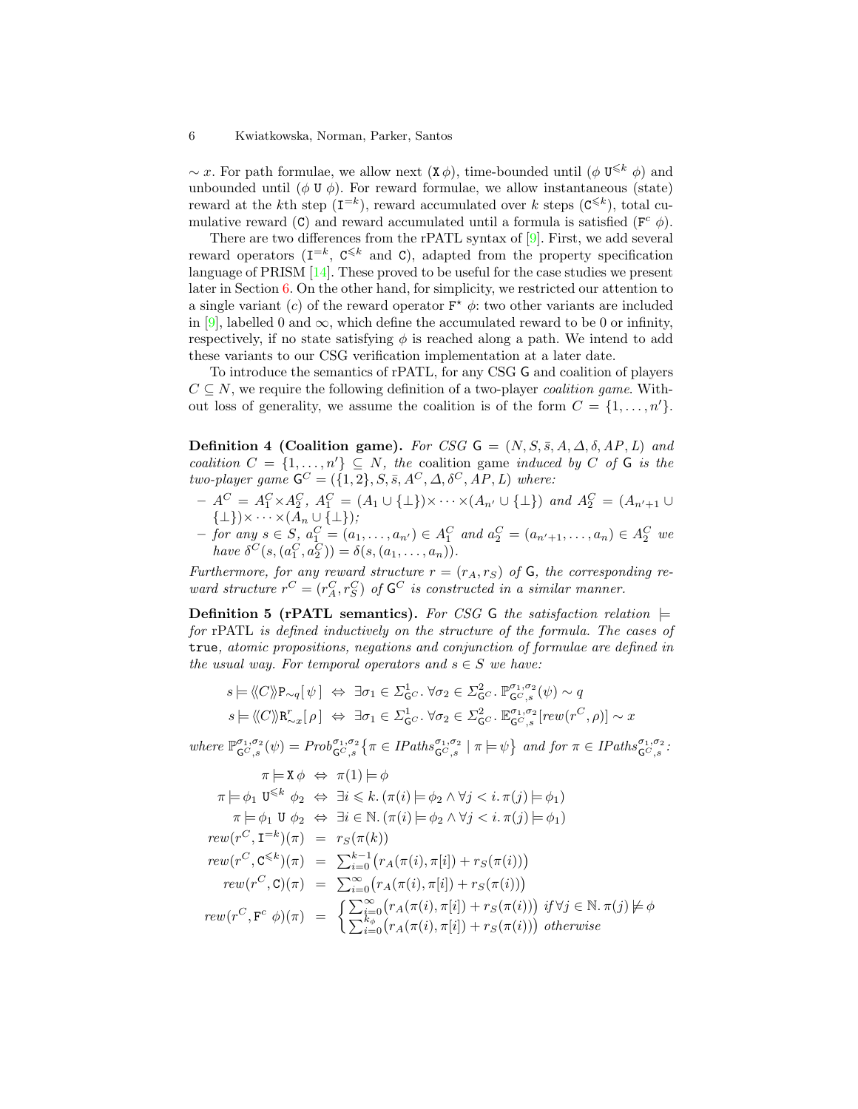∼ x. For path formulae, we allow next  $(\mathbf{X} \phi)$ , time-bounded until  $(\phi \mathbf{U}^{\leq k} \phi)$  and unbounded until  $(\phi \cup \phi)$ . For reward formulae, we allow instantaneous (state) reward at the kth step  $(I^{-k})$ , reward accumulated over k steps  $(C^{\leq k})$ , total cumulative reward (C) and reward accumulated until a formula is satisfied  $(F^c \phi)$ .

There are two differences from the rPATL syntax of [\[9\]](#page-16-3). First, we add several reward operators ( $I^{=k}$ ,  $C^{\leq k}$  and C), adapted from the property specification language of PRISM [\[14\]](#page-16-0). These proved to be useful for the case studies we present later in Section [6.](#page-11-0) On the other hand, for simplicity, we restricted our attention to a single variant (c) of the reward operator  $F^* \phi$ : two other variants are included in [\[9\]](#page-16-3), labelled 0 and  $\infty$ , which define the accumulated reward to be 0 or infinity, respectively, if no state satisfying  $\phi$  is reached along a path. We intend to add these variants to our CSG verification implementation at a later date.

To introduce the semantics of rPATL, for any CSG G and coalition of players  $C \subseteq N$ , we require the following definition of a two-player *coalition game*. Without loss of generality, we assume the coalition is of the form  $C = \{1, \ldots, n'\}.$ 

Definition 4 (Coalition game). For CSG G =  $(N, S, \bar{s}, A, \Delta, \delta, AP, L)$  and coalition  $C = \{1, \ldots, n'\} \subseteq N$ , the coalition game induced by C of G is the two-player game  $G^C = (\{1, 2\}, S, \bar{s}, A^C, \Delta, \delta^C, AP, L)$  where:

- $A^C = A_1^C \times A_2^C$ ,  $A_1^C = (A_1 \cup \{\perp\}) \times \cdots \times (A_{n'} \cup \{\perp\})$  and  $A_2^C = (A_{n'+1} \cup$  $\{ \bot \} \times \cdots \times (A_n \cup \{ \bot \});$
- $-$  for any  $s \in S$ ,  $a_1^C = (a_1, \ldots, a_{n'}) \in A_1^C$  and  $a_2^C = (a_{n'+1}, \ldots, a_n) \in A_2^C$  we have  $\delta^C(s, (a_1^C, a_2^C)) = \delta(s, (a_1, \ldots, a_n)).$

Furthermore, for any reward structure  $r = (r_A, r_S)$  of G, the corresponding reward structure  $r^C = (r_A^C, r_S^C)$  of  $\mathsf{G}^C$  is constructed in a similar manner.

<span id="page-6-0"></span>**Definition 5 (rPATL semantics).** For CSG G the satisfaction relation  $\models$ for rPATL is defined inductively on the structure of the formula. The cases of true, atomic propositions, negations and conjunction of formulae are defined in the usual way. For temporal operators and  $s \in S$  we have:

$$
\begin{array}{l} s \models \langle\!\langle C \rangle\!\rangle \mathrm{P}_{\sim q}[\psi] \; \Leftrightarrow \; \exists \sigma_1 \in \varSigma^1_{\mathsf{G}^C}.\; \forall \sigma_2 \in \varSigma^2_{\mathsf{G}^C}.\; \mathbb{P}^{\sigma_1,\sigma_2}_{\mathsf{G}^C,s}(\psi) \sim q \\ s \models \langle\!\langle C \rangle\!\rangle \mathrm{R}^r_{\sim x}[\rho] \; \Leftrightarrow \; \exists \sigma_1 \in \varSigma^1_{\mathsf{G}^C}.\; \forall \sigma_2 \in \varSigma^2_{\mathsf{G}^C}.\; \mathbb{E}^{\sigma_1,\sigma_2}_{\mathsf{G}^C,s}[\mathit{rew}(r^C,\rho)] \sim x \end{array}
$$

where  $\mathbb{P}^{\sigma_1,\sigma_2}_{\mathsf{G}^C,s}(\psi) = \mathit{Prob}^{\sigma_1,\sigma_2}_{\mathsf{G}^C,s}\left\{\pi \in \mathit{IPaths}_{\mathsf{G}^C,s}^{\sigma_1,\sigma_2} \mid \pi \models \psi\right\}$  and for  $\pi \in \mathit{IPaths}_{\mathsf{G}^C,s}^{\sigma_1,\sigma_2}$ .

$$
\pi \models \mathbf{X} \phi \Leftrightarrow \pi(1) \models \phi
$$
\n
$$
\pi \models \phi_1 \mathbf{U}^{\leq k} \phi_2 \Leftrightarrow \exists i \leq k. (\pi(i) \models \phi_2 \land \forall j \leq i. \pi(j) \models \phi_1)
$$
\n
$$
\pi \models \phi_1 \mathbf{U} \phi_2 \Leftrightarrow \exists i \in \mathbb{N}. (\pi(i) \models \phi_2 \land \forall j \leq i. \pi(j) \models \phi_1)
$$
\n
$$
rew(r^C, \mathbf{I}^{=k})(\pi) = r_S(\pi(k))
$$
\n
$$
rew(r^C, \mathbf{C}^{\leq k})(\pi) = \sum_{i=0}^{k-1} (r_A(\pi(i), \pi[i]) + r_S(\pi(i)))
$$
\n
$$
rew(r^C, \mathbf{C})(\pi) = \sum_{i=0}^{\infty} (r_A(\pi(i), \pi[i]) + r_S(\pi(i)))
$$
\n
$$
rew(r^C, \mathbf{F}^c \phi)(\pi) = \begin{cases} \sum_{i=0}^{\infty} (r_A(\pi(i), \pi[i]) + r_S(\pi(i))) \text{ if } \forall j \in \mathbb{N}. \pi(j) \neq \phi \\ \sum_{i=0}^{k} (r_A(\pi(i), \pi[i]) + r_S(\pi(i))) \text{ otherwise} \end{cases}
$$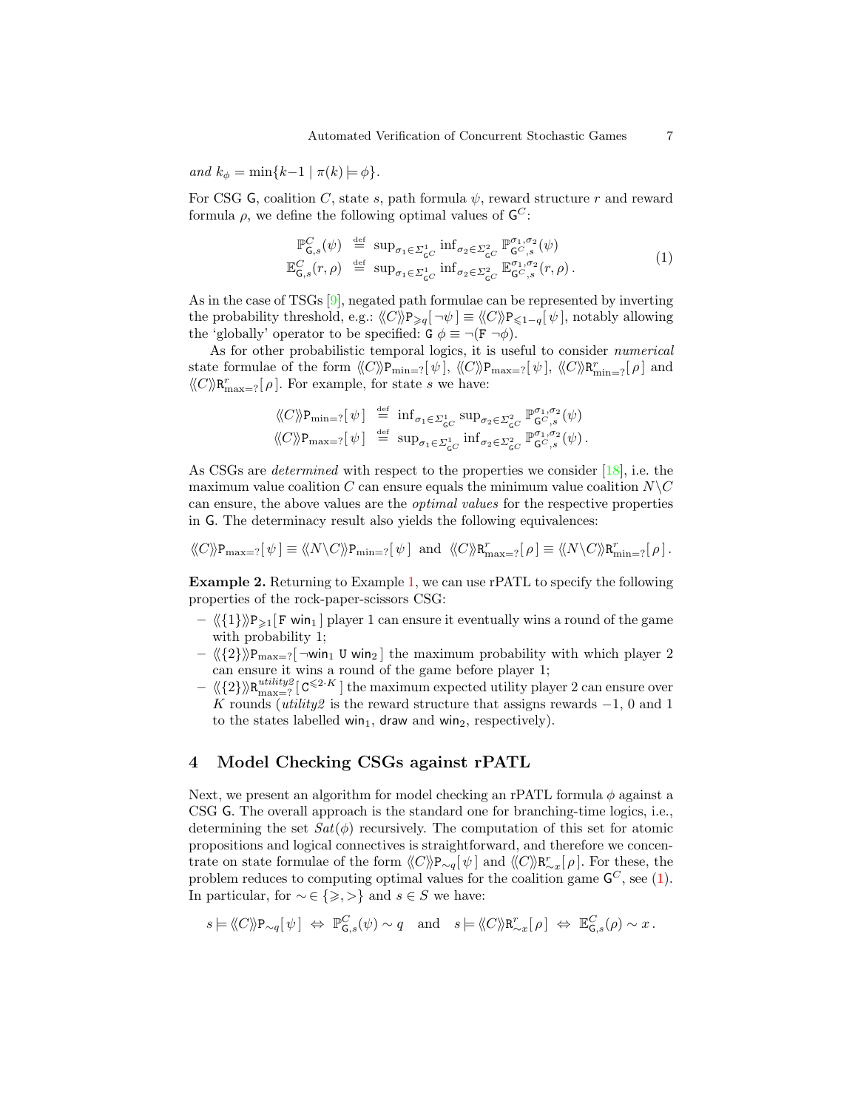and  $k_{\phi} = \min\{k-1 \mid \pi(k) \models \phi\}.$ 

For CSG G, coalition C, state s, path formula  $\psi$ , reward structure r and reward formula  $\rho$ , we define the following optimal values of  $\mathsf{G}^C$ :

<span id="page-7-0"></span>
$$
\mathbb{P}^C_{\mathsf{G},s}(\psi) \stackrel{\text{def}}{=} \sup_{\sigma_1 \in \Sigma_{\mathsf{G}^C}^1} \inf_{\sigma_2 \in \Sigma_{\mathsf{G}^C}^2} \mathbb{P}^{\sigma_1, \sigma_2}_{\mathsf{G}^C, s}(\psi)
$$
\n
$$
\mathbb{E}^C_{\mathsf{G},s}(r,\rho) \stackrel{\text{def}}{=} \sup_{\sigma_1 \in \Sigma_{\mathsf{G}^C}^1} \inf_{\sigma_2 \in \Sigma_{\mathsf{G}^C}^2} \mathbb{E}^{\sigma_1, \sigma_2}_{\mathsf{G}^C, s}(r,\rho).
$$
\n(1)

As in the case of TSGs [\[9\]](#page-16-3), negated path formulae can be represented by inverting the probability threshold, e.g.:  $\langle C \rangle P_{\geq q}[\neg \psi] \equiv \langle C \rangle P_{\leq 1-q}[\psi]$ , notably allowing the 'globally' operator to be specified:  $\mathbf{G} \phi \equiv \neg(\mathbf{F} \neg \phi)$ .

As for other probabilistic temporal logics, it is useful to consider numerical state formulae of the form  $\langle C \rangle \mathcal{P}_{min=?}[\psi], \langle\langle C \rangle \mathcal{P}_{max=?}[\psi], \langle\langle C \rangle \mathcal{R}_{min=?}^r[\rho]$  and  $\langle\!\langle C\rangle\!\rangle {\rm R}^r_{\max=?}[\,\rho\,].$  For example, for state  $s$  we have:

$$
\begin{array}{lll} \langle\!\langle C\rangle\!\rangle \mathrm{P}_{\mathrm{min}=?}[\,\psi\,]\!&\stackrel{\mathrm{def}}{=} \mathrm{inf}_{\sigma_1\in \varSigma^1_{\mathrm{G}^C}}\mathrm{sup}_{\sigma_2\in \varSigma^2_{\mathrm{G}^C}}\mathbb{P}^{\sigma_1,\sigma_2}_{\mathrm{G}^C,\mathrm{s}}(\psi)\\ \langle\!\langle C\rangle\!\rangle \mathrm{P}_{\mathrm{max}=?}[\,\psi\,]\!&\stackrel{\mathrm{def}}{=} \mathrm{sup}_{\sigma_1\in \varSigma^1_{\mathrm{G}^C}}\mathrm{inf}_{\sigma_2\in \varSigma^2_{\mathrm{G}^C}}\mathbb{P}^{\sigma_1,\sigma_2}_{\mathrm{G}^C,\mathrm{s}}(\psi)\,. \end{array}
$$

As CSGs are *determined* with respect to the properties we consider [\[18\]](#page-16-16), i.e. the maximum value coalition C can ensure equals the minimum value coalition  $N\setminus C$ can ensure, the above values are the optimal values for the respective properties in G. The determinacy result also yields the following equivalences:

$$
\langle\!\langle C\rangle\!\rangle \mathrm{P}_{\max=?}[\,\psi\,]\equiv \langle\!\langle N\backslash C\rangle\!\rangle \mathrm{P}_{\min=?}[\,\psi\,]\;\;\mathrm{and}\;\;\langle\!\langle C\rangle\!\rangle \mathrm{R}_{\max=?}^r[\,\rho\,]\equiv \langle\!\langle N\backslash C\rangle\!\rangle \mathrm{R}_{\min=?}^r[\,\rho\,]\,.
$$

Example 2. Returning to Example [1,](#page-5-1) we can use rPATL to specify the following properties of the rock-paper-scissors CSG:

- $\langle \langle \{1\} \rangle \rangle P_{\geq 1}$  F win<sub>1</sub> ] player 1 can ensure it eventually wins a round of the game with probability 1;
- $\langle \langle 2 \rangle \rangle P_{\text{max}=2}$ [ ¬win<sub>1</sub> U win<sub>2</sub>] the maximum probability with which player 2 can ensure it wins a round of the game before player 1;
- $\langle \langle \{2\} \rangle \rangle R_{\text{max}=?}^{utility2} [\texttt{C}^{\leq 2 \cdot K}]$  the maximum expected utility player 2 can ensure over K rounds (utility2 is the reward structure that assigns rewards  $-1$ , 0 and 1 to the states labelled win<sub>1</sub>, draw and win<sub>2</sub>, respectively).

# <span id="page-7-1"></span>4 Model Checking CSGs against rPATL

Next, we present an algorithm for model checking an rPATL formula  $\phi$  against a CSG G. The overall approach is the standard one for branching-time logics, i.e., determining the set  $Sat(\phi)$  recursively. The computation of this set for atomic propositions and logical connectives is straightforward, and therefore we concentrate on state formulae of the form  $\langle\!\langle C \rangle\!\rangle P_{\sim q}[\psi]$  and  $\langle\!\langle C \rangle\!\rangle R_{\sim x}^r[\rho]$ . For these, the problem reduces to computing optimal values for the coalition game  $\mathsf{G}^C$ , see [\(1\)](#page-7-0). In particular, for  $\sim \in \{\geq, >\}$  and  $s \in S$  we have:

$$
s \models \langle\!\langle C \rangle\!\rangle \mathrm{P}_{\sim q}[\psi] \ \Leftrightarrow \ \mathbb{P}^C_{\mathsf{G},s}(\psi) \sim q \quad \text{and} \quad s \models \langle\!\langle C \rangle\!\rangle \mathrm{R}^r_{\sim x}[\rho] \ \Leftrightarrow \ \mathbb{E}^C_{\mathsf{G},s}(\rho) \sim x \, .
$$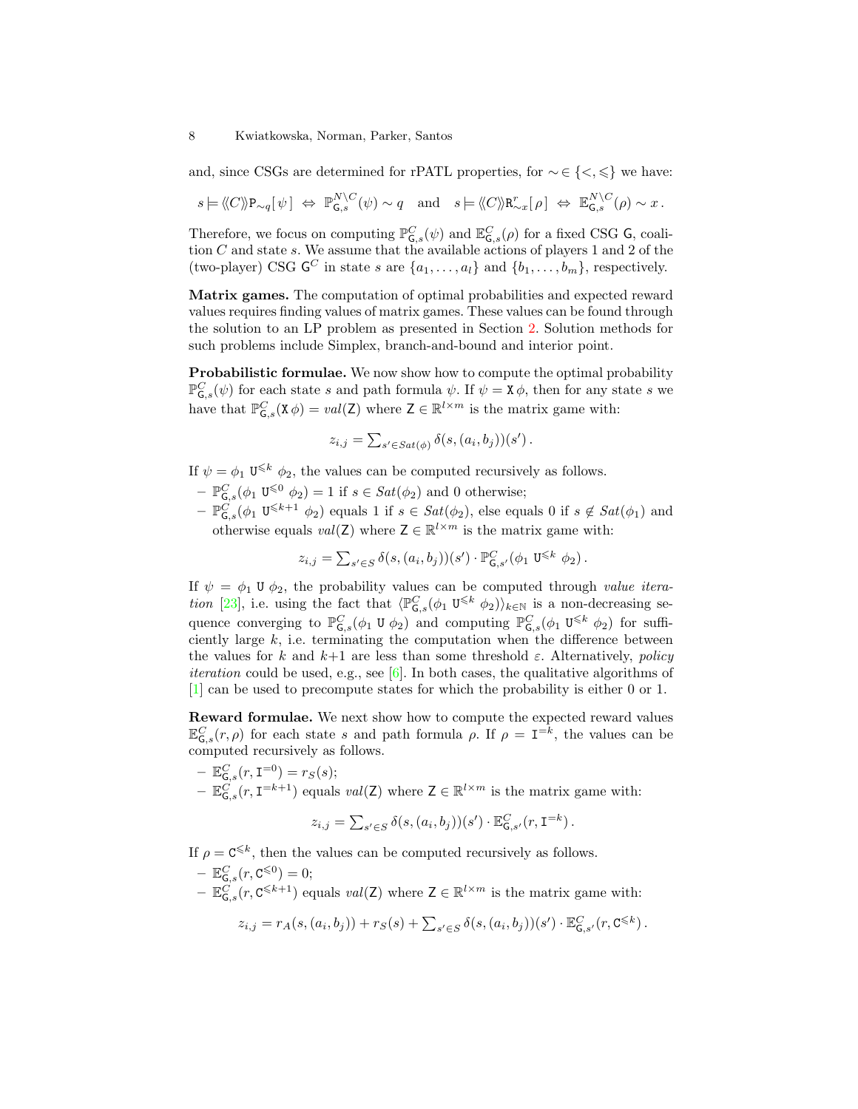and, since CSGs are determined for rPATL properties, for  $\sim \in \{ \leq, \leq \}$  we have:

$$
s \models \langle\!\langle C \rangle\!\rangle \mathsf{P}_{\sim q}[\psi] \Leftrightarrow \mathbb{P}^{N \setminus C}_{\mathsf{G},s}(\psi) \sim q \quad \text{and} \quad s \models \langle\!\langle C \rangle\!\rangle \mathsf{R}^r_{\sim x}[\rho] \Leftrightarrow \mathbb{E}^{N \setminus C}_{\mathsf{G},s}(\rho) \sim x \, .
$$

Therefore, we focus on computing  $\mathbb{P}^C_{\mathsf{G},s}(\psi)$  and  $\mathbb{E}^C_{\mathsf{G},s}(\rho)$  for a fixed CSG  $\mathsf{G},$  coalition  $C$  and state  $s$ . We assume that the available actions of players 1 and 2 of the (two-player) CSG  $G^C$  in state s are  $\{a_1, \ldots, a_l\}$  and  $\{b_1, \ldots, b_m\}$ , respectively.

Matrix games. The computation of optimal probabilities and expected reward values requires finding values of matrix games. These values can be found through the solution to an LP problem as presented in Section [2.](#page-3-0) Solution methods for such problems include Simplex, branch-and-bound and interior point.

Probabilistic formulae. We now show how to compute the optimal probability  $\mathbb{P}^C_{\mathsf{G},s}(\psi)$  for each state s and path formula  $\psi$ . If  $\psi = \mathbf{X}\phi$ , then for any state s we have that  $\mathbb{P}^C_{\mathsf{G},s}(\mathsf{X}\,\phi) = val(\mathsf{Z})$  where  $\mathsf{Z} \in \mathbb{R}^{l \times m}$  is the matrix game with:

$$
z_{i,j} = \sum_{s' \in Sat(\phi)} \delta(s, (a_i, b_j))(s').
$$

If  $\psi = \phi_1$  U<sup> $\le k$ </sup>  $\phi_2$ , the values can be computed recursively as follows.

- $\mathbb{P}^C_{\mathsf{G},s}(\phi_1 \mathsf{U}^{\leq 0} \phi_2) = 1$  if  $s \in Sat(\phi_2)$  and 0 otherwise;
- $\mathbb{P}^{\widetilde{G}}_{\mathsf{G},s}(\phi_1 \mathsf{U}^{\leq k+1} \phi_2)$  equals 1 if  $s \in Sat(\phi_2)$ , else equals 0 if  $s \notin Sat(\phi_1)$  and otherwise equals  $val(Z)$  where  $Z \in \mathbb{R}^{l \times m}$  is the matrix game with:

$$
z_{i,j} = \sum_{s' \in S} \delta(s, (a_i, b_j))(s') \cdot \mathbb{P}^C_{\mathsf{G},s'}(\phi_1 \mathbf{U}^{\leq k} \phi_2).
$$

If  $\psi = \phi_1 \mathbf{U} \phi_2$ , the probability values can be computed through value itera-tion [\[23\]](#page-16-17), i.e. using the fact that  $\langle \mathbb{P}^C_{\mathsf{G},s}(\phi_1 \mathsf{U}^{\leq k} \phi_2) \rangle_{k \in \mathbb{N}}$  is a non-decreasing sequence converging to  $\mathbb{P}^C_{\mathsf{G},s}(\phi_1 \cup \phi_2)$  and computing  $\mathbb{P}^C_{\mathsf{G},s}(\phi_1 \cup^{\leq k} \phi_2)$  for sufficiently large  $k$ , i.e. terminating the computation when the difference between the values for k and  $k+1$  are less than some threshold  $\varepsilon$ . Alternatively, policy *iteration* could be used, e.g., see [\[6\]](#page-16-7). In both cases, the qualitative algorithms of [\[1\]](#page-16-18) can be used to precompute states for which the probability is either 0 or 1.

Reward formulae. We next show how to compute the expected reward values  $\mathbb{E}_{\mathsf{G},s}^C(r,\rho)$  for each state s and path formula  $\rho$ . If  $\rho = \mathbf{I}^{=k}$ , the values can be computed recursively as follows.

 $- \mathbb{E}^C_{\mathsf{G},s}(r,\mathrm{I}^{=0}) = r_S(s);$  $-\mathbb{E}_{\mathsf{G},s}^C(r,\mathsf{I}^{=k+1})$  equals  $val(\mathsf{Z})$  where  $\mathsf{Z} \in \mathbb{R}^{l \times m}$  is the matrix game with:

$$
z_{i,j} = \sum_{s' \in S} \delta(s, (a_i, b_j))(s') \cdot \mathbb{E}^C_{\mathsf{G},s'}(r, \mathbf{I}^{=k}).
$$

If  $\rho = \mathbf{C}^{\leq k}$ , then the values can be computed recursively as follows.

 $- \mathbb{E}_{\mathsf{G},s}^{C}(r, \mathsf{C}^{\leq 0}) = 0;$  $-\mathbb{E}_{\mathsf{G},s}^{\mathcal{G}'}(r,\mathsf{C}^{\leq k+1})$  equals  $val(\mathsf{Z})$  where  $\mathsf{Z} \in \mathbb{R}^{l \times m}$  is the matrix game with:  $z_{i,j} = r_A(s,(a_i,b_j)) + r_S(s) + \sum_{s' \in S} \delta(s,(a_i,b_j))(s') \cdot \mathbb{E}^C_{\mathsf{G},s'}(r,\mathsf{C}^{\leq k}).$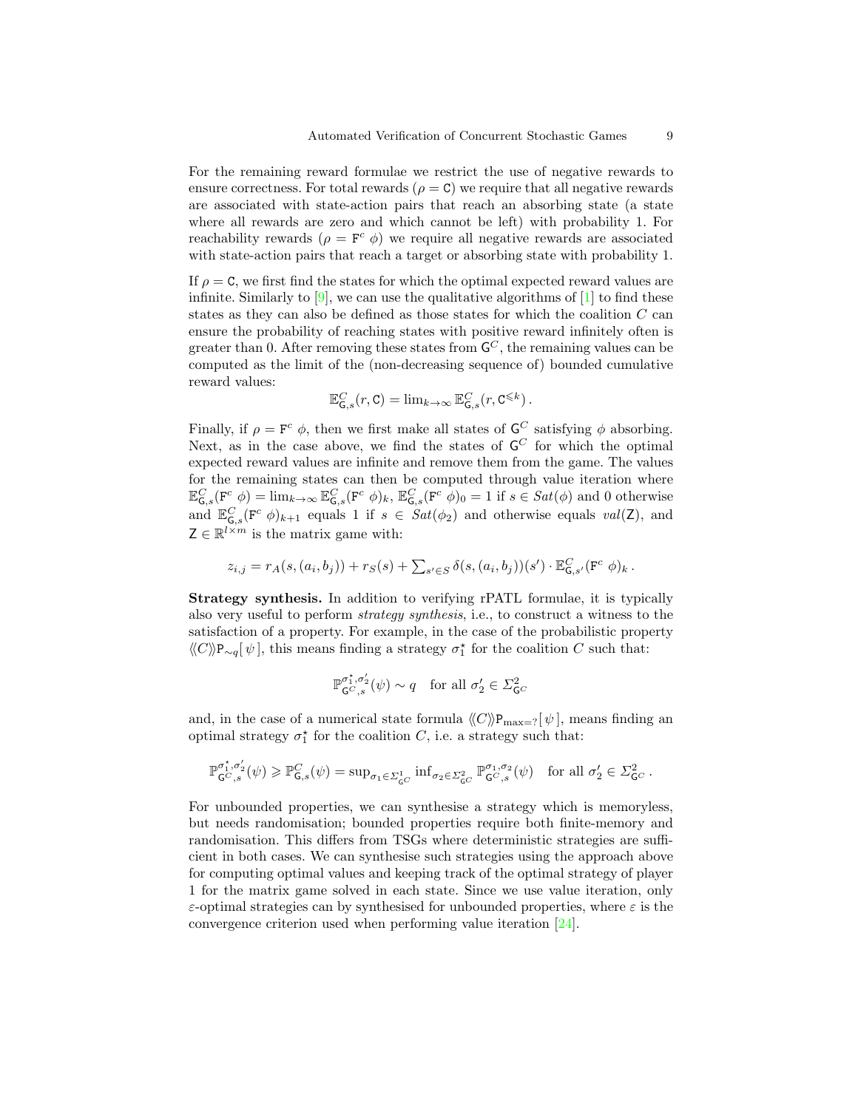For the remaining reward formulae we restrict the use of negative rewards to ensure correctness. For total rewards ( $\rho = \mathbf{C}$ ) we require that all negative rewards are associated with state-action pairs that reach an absorbing state (a state where all rewards are zero and which cannot be left) with probability 1. For reachability rewards  $(\rho = F^c \phi)$  we require all negative rewards are associated with state-action pairs that reach a target or absorbing state with probability 1.

If  $\rho = C$ , we first find the states for which the optimal expected reward values are infinite. Similarly to  $[9]$ , we can use the qualitative algorithms of  $[1]$  to find these states as they can also be defined as those states for which the coalition C can ensure the probability of reaching states with positive reward infinitely often is greater than 0. After removing these states from  $\mathsf{G}^C$ , the remaining values can be computed as the limit of the (non-decreasing sequence of) bounded cumulative reward values:

$$
\mathbb{E}^C_{\mathsf{G},s}(r,\mathsf{C}) = \lim_{k \to \infty} \mathbb{E}^C_{\mathsf{G},s}(r,\mathsf{C}^{\leq k}).
$$

Finally, if  $\rho = \mathbf{F}^c \phi$ , then we first make all states of  $\mathbf{G}^C$  satisfying  $\phi$  absorbing. Next, as in the case above, we find the states of  $\mathsf{G}^C$  for which the optimal expected reward values are infinite and remove them from the game. The values for the remaining states can then be computed through value iteration where  $\mathbb{E}^C_{\mathsf{G},s}(\mathsf{F}^c \; \phi) = \lim_{k \to \infty} \mathbb{E}^C_{\mathsf{G},s}(\mathsf{F}^c \; \phi)_k, \, \mathbb{E}^C_{\mathsf{G},s}(\mathsf{F}^c \; \phi)_0 = 1$  if  $s \in \text{Sat}(\phi)$  and 0 otherwise and  $\mathbb{E}_{\mathsf{G},s}^C(\mathsf{F}^c \phi)_{k+1}$  equals 1 if  $s \in Sat(\phi_2)$  and otherwise equals  $val(\mathsf{Z})$ , and  $Z \in \mathbb{R}^{l \times m}$  is the matrix game with:

$$
z_{i,j} = r_A(s, (a_i, b_j)) + r_S(s) + \sum_{s' \in S} \delta(s, (a_i, b_j))(s') \cdot \mathbb{E}^C_{\mathsf{G},s'}(\mathsf{F}^c \phi)_k.
$$

Strategy synthesis. In addition to verifying rPATL formulae, it is typically also very useful to perform strategy synthesis, i.e., to construct a witness to the satisfaction of a property. For example, in the case of the probabilistic property  $\langle\!\langle C\rangle\rangle$ P∼q[ $\psi$ ], this means finding a strategy  $\sigma_1^{\star}$  for the coalition C such that:

$$
\mathbb{P}^{\sigma_1^\star,\sigma_2'}_{\mathsf{G}^C,s}(\psi) \sim q \quad \text{for all $\sigma_2' \in \varSigma^2_{\mathsf{G}^C}$}
$$

and, in the case of a numerical state formula  $\langle\langle C\rangle P_{\text{max}=?}[\psi]$ , means finding an optimal strategy  $\sigma_1^*$  for the coalition C, i.e. a strategy such that:

$$
\mathbb{P}^{\sigma_1^*, \sigma_2'}_{\mathsf{G}^C, s}(\psi) \geq \mathbb{P}^C_{\mathsf{G}, s}(\psi) = \sup_{\sigma_1 \in \Sigma_{\mathsf{G}^C}^1} \inf_{\sigma_2 \in \Sigma_{\mathsf{G}^C}^2} \mathbb{P}^{\sigma_1, \sigma_2}_{\mathsf{G}^C, s}(\psi) \quad \text{for all } \sigma_2' \in \Sigma_{\mathsf{G}^C}^2.
$$

For unbounded properties, we can synthesise a strategy which is memoryless, but needs randomisation; bounded properties require both finite-memory and randomisation. This differs from TSGs where deterministic strategies are sufficient in both cases. We can synthesise such strategies using the approach above for computing optimal values and keeping track of the optimal strategy of player 1 for the matrix game solved in each state. Since we use value iteration, only  $\varepsilon$ -optimal strategies can by synthesised for unbounded properties, where  $\varepsilon$  is the convergence criterion used when performing value iteration [\[24\]](#page-16-19).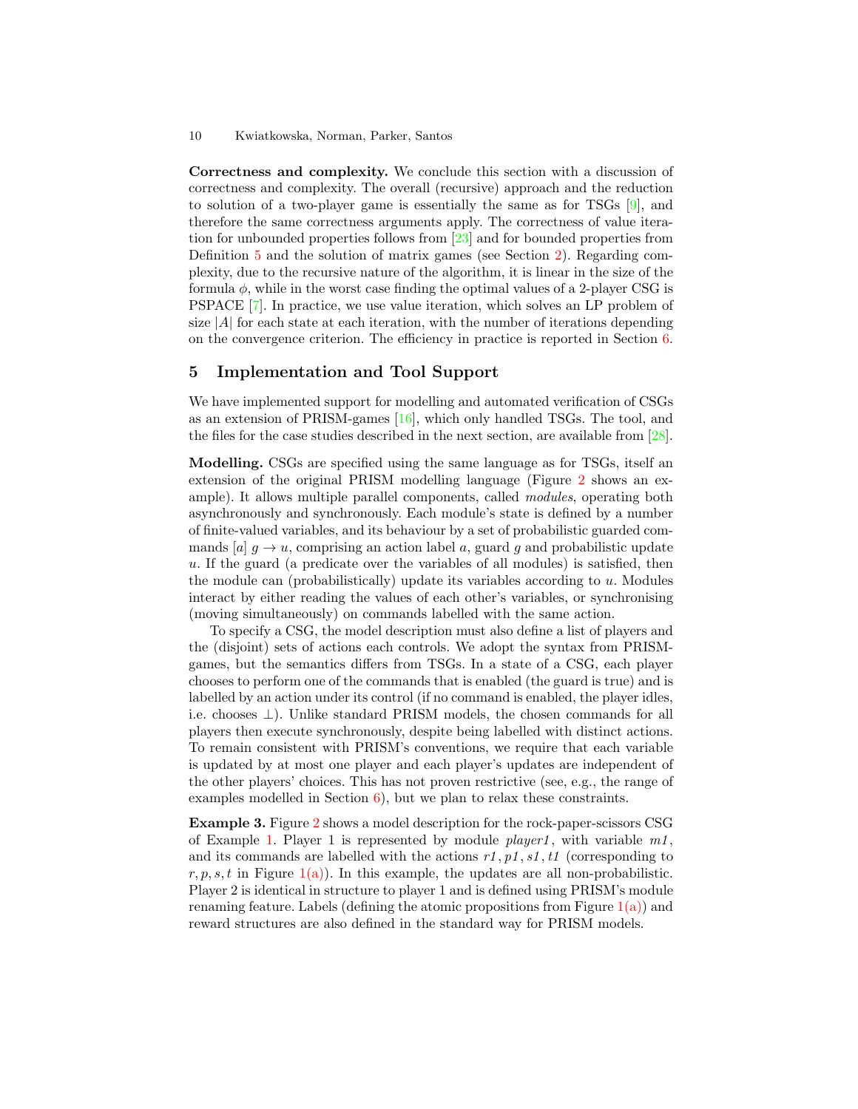10 Kwiatkowska, Norman, Parker, Santos

Correctness and complexity. We conclude this section with a discussion of correctness and complexity. The overall (recursive) approach and the reduction to solution of a two-player game is essentially the same as for TSGs [\[9\]](#page-16-3), and therefore the same correctness arguments apply. The correctness of value iteration for unbounded properties follows from [\[23\]](#page-16-17) and for bounded properties from Definition [5](#page-6-0) and the solution of matrix games (see Section [2\)](#page-3-0). Regarding complexity, due to the recursive nature of the algorithm, it is linear in the size of the formula  $\phi$ , while in the worst case finding the optimal values of a 2-player CSG is PSPACE [\[7\]](#page-16-20). In practice, we use value iteration, which solves an LP problem of size  $|A|$  for each state at each iteration, with the number of iterations depending on the convergence criterion. The efficiency in practice is reported in Section [6.](#page-11-0)

# 5 Implementation and Tool Support

We have implemented support for modelling and automated verification of CSGs as an extension of PRISM-games [\[16\]](#page-16-2), which only handled TSGs. The tool, and the files for the case studies described in the next section, are available from [\[28\]](#page-16-21).

Modelling. CSGs are specified using the same language as for TSGs, itself an extension of the original PRISM modelling language (Figure [2](#page-11-1) shows an example). It allows multiple parallel components, called modules, operating both asynchronously and synchronously. Each module's state is defined by a number of finite-valued variables, and its behaviour by a set of probabilistic guarded commands [a]  $q \rightarrow u$ , comprising an action label a, guard q and probabilistic update u. If the guard (a predicate over the variables of all modules) is satisfied, then the module can (probabilistically) update its variables according to u. Modules interact by either reading the values of each other's variables, or synchronising (moving simultaneously) on commands labelled with the same action.

To specify a CSG, the model description must also define a list of players and the (disjoint) sets of actions each controls. We adopt the syntax from PRISMgames, but the semantics differs from TSGs. In a state of a CSG, each player chooses to perform one of the commands that is enabled (the guard is true) and is labelled by an action under its control (if no command is enabled, the player idles, i.e. chooses ⊥). Unlike standard PRISM models, the chosen commands for all players then execute synchronously, despite being labelled with distinct actions. To remain consistent with PRISM's conventions, we require that each variable is updated by at most one player and each player's updates are independent of the other players' choices. This has not proven restrictive (see, e.g., the range of examples modelled in Section [6\)](#page-11-0), but we plan to relax these constraints.

Example 3. Figure [2](#page-11-1) shows a model description for the rock-paper-scissors CSG of Example [1.](#page-5-1) Player 1 is represented by module  $player1$ , with variable  $m1$ , and its commands are labelled with the actions  $r1, p1, s1, t1$  (corresponding to  $r, p, s, t$  in Figure [1\(a\)\)](#page-5-0). In this example, the updates are all non-probabilistic. Player 2 is identical in structure to player 1 and is defined using PRISM's module renaming feature. Labels (defining the atomic propositions from Figure  $1(a)$ ) and reward structures are also defined in the standard way for PRISM models.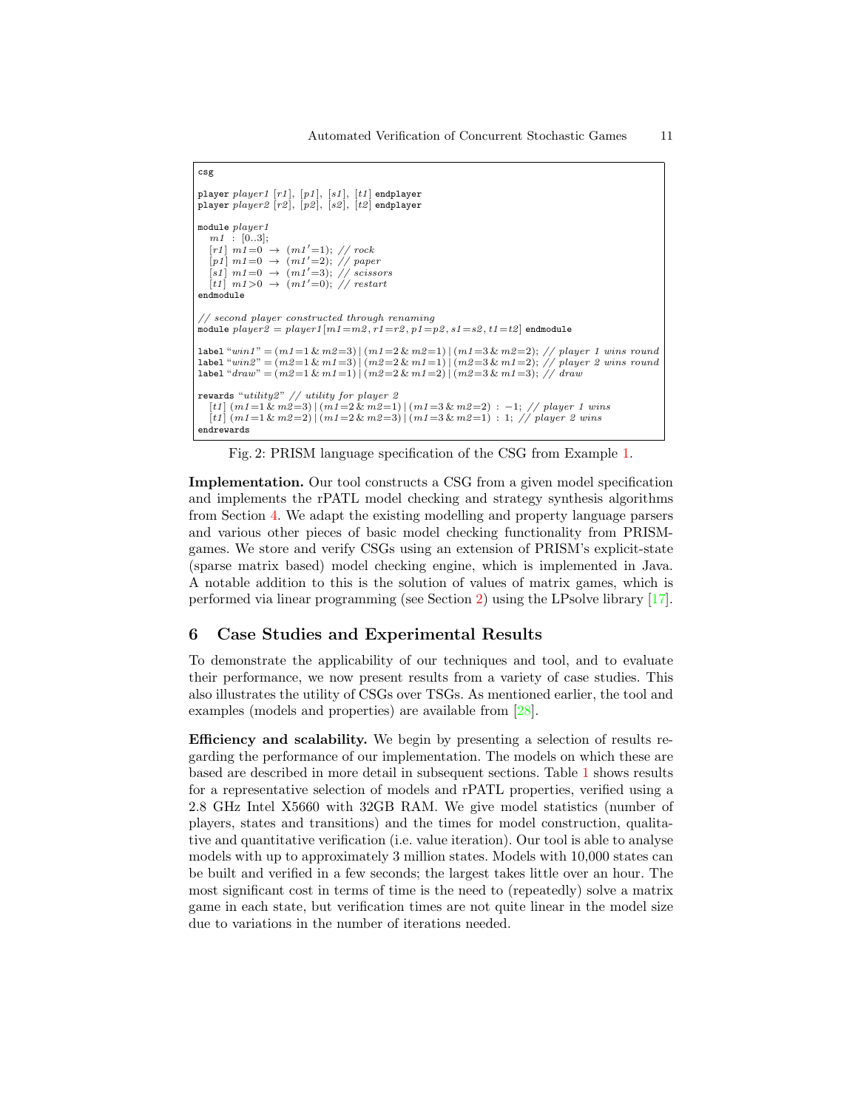```
csg
player player1 [r1], \ [p1], \ [s1], \ [t1] endplayer<br>player player2 [r2], \ [p2], \ [s2], \ [t2] endplayer
{p}layer1m1 : [0..3];
   [r1] m1=0 \rightarrow (m1'=1); // rock
   [p1] m1=0 \rightarrow (m1'=2); // paper
   [s1] m1=0 \rightarrow (m1'=3); // scissors
   [t1] m1>0 \rightarrow (m1'=0); // restart
endmodule
// second player constructed through renaming
module player2 = player1[m1\!=\!m2, r1\!=\!r2, p1\!=\!p2, s1\!=\!s2, t1\!=\!t2] endmodule
label "win1" = (m1=1 \& m2=3) | (m1=2 \& m2=1) | (m1=3 \& m2=2); // player 1 wins round
label "win2" = (m2=1 \& m1=3) | (m2=2 \& m1=1) | (m2=3 \& m1=2); // player 2 wins round<br>label "draw" = (m2=1 \& m1=1) | (m2=2 \& m1=2) | (m2=3 \& m1=3); // drawrewards "utility2" // utility for player 2
   [t1] (m1=1 \& m2=3) |(m1=2 \& m2=1) | (m1=3 \& m2=2) : -1; // player 1 wins<br>[t1] (m1=1 \& m2=2) | (m1=2 \& m2=3) | (m1=3 \& m2=1) : 1; // player 2 winsendrewards
```
Fig. 2: PRISM language specification of the CSG from Example [1.](#page-5-1)

Implementation. Our tool constructs a CSG from a given model specification and implements the rPATL model checking and strategy synthesis algorithms from Section [4.](#page-7-1) We adapt the existing modelling and property language parsers and various other pieces of basic model checking functionality from PRISMgames. We store and verify CSGs using an extension of PRISM's explicit-state (sparse matrix based) model checking engine, which is implemented in Java. A notable addition to this is the solution of values of matrix games, which is performed via linear programming (see Section [2\)](#page-3-0) using the LPsolve library [\[17\]](#page-16-22).

# <span id="page-11-0"></span>6 Case Studies and Experimental Results

To demonstrate the applicability of our techniques and tool, and to evaluate their performance, we now present results from a variety of case studies. This also illustrates the utility of CSGs over TSGs. As mentioned earlier, the tool and examples (models and properties) are available from [\[28\]](#page-16-21).

Efficiency and scalability. We begin by presenting a selection of results regarding the performance of our implementation. The models on which these are based are described in more detail in subsequent sections. Table [1](#page-12-0) shows results for a representative selection of models and rPATL properties, verified using a 2.8 GHz Intel X5660 with 32GB RAM. We give model statistics (number of players, states and transitions) and the times for model construction, qualitative and quantitative verification (i.e. value iteration). Our tool is able to analyse models with up to approximately 3 million states. Models with 10,000 states can be built and verified in a few seconds; the largest takes little over an hour. The most significant cost in terms of time is the need to (repeatedly) solve a matrix game in each state, but verification times are not quite linear in the model size due to variations in the number of iterations needed.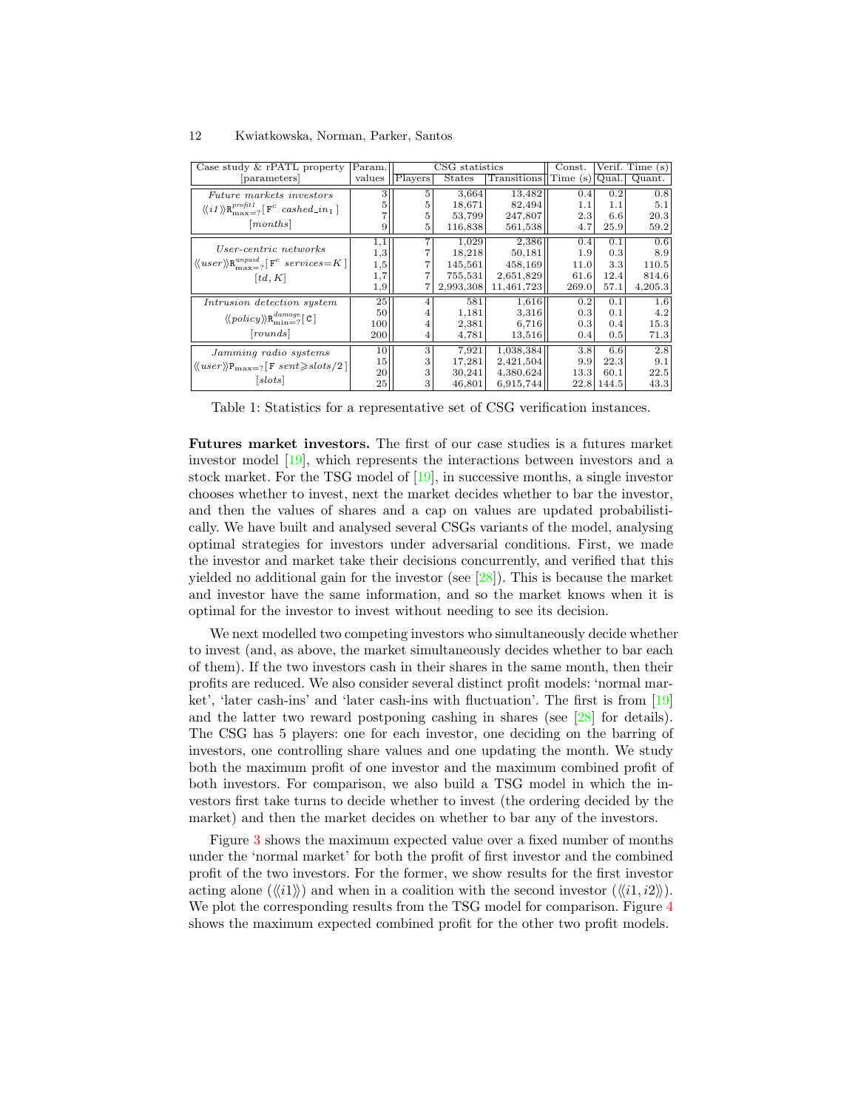#### 12 Kwiatkowska, Norman, Parker, Santos

<span id="page-12-0"></span>

| Case study $&$ rPATL property                                                                                                                 | Param.          | CSG statistics              |               |             | Const.  |            | Verif. Time $(s)$ |
|-----------------------------------------------------------------------------------------------------------------------------------------------|-----------------|-----------------------------|---------------|-------------|---------|------------|-------------------|
| [parameters]                                                                                                                                  | values          | $\overline{\text{Players}}$ | <b>States</b> | Transitions | Time(s) | Qual.      | Quant.            |
| Future markets investors<br>$\langle\langle i1\rangle\rangle R^{profit}_{\text{max}=?}[F^c \; \text{cashed} \_in_1]$<br>[months]              | 3               | 5                           | 3,664         | 13,482      | 0.4     | 0.2        | 0.8               |
|                                                                                                                                               | 5               | 5                           | 18,671        | 82,494      | 1.1     | 1.1        | 5.1               |
|                                                                                                                                               |                 | 5                           | 53,799        | 247,807     | 2.3     | 6.6        | 20.3              |
|                                                                                                                                               | 9               | 5                           | 116,838       | 561,538     | 4.7     | 25.9       | 59.2              |
| User-centric networks<br>$\langle \langle user \rangle \rangle R_{\text{max}=?}^{unpaid}$ [F <sup>c</sup> services=K]<br>$\lceil td, K\rceil$ | 1,1             |                             | 1,029         | 2,386       | 0.4     | 0.1        | $\overline{0.6}$  |
|                                                                                                                                               | 1,3             |                             | 18,218        | 50,181      | 1.9     | 0.3        | 8.9               |
|                                                                                                                                               | 1,5             |                             | 145,561       | 458,169     | 11.0    | 3.3        | 110.5             |
|                                                                                                                                               | 1,7             |                             | 755,531       | 2,651,829   | 61.6    | 12.4       | 814.6             |
|                                                                                                                                               | 1,9             |                             | 2,993,308     | 11,461,723  | 269.0   | 57.1       | 4,205.3           |
| Intrusion detection system<br>$\langle\langle policy \rangle \rangle R^{damage}_{\text{min}2}[C]$<br>[rounds]                                 | 25              | 4                           | 581           | 1,616       | 0.2     | 0.1        | 1.6               |
|                                                                                                                                               | 50              | 4                           | 1,181         | 3,316       | 0.3     | 0.1        | 4.2               |
|                                                                                                                                               | 100             | 4                           | 2,381         | 6,716       | 0.3     | 0.4        | 15.3              |
|                                                                                                                                               | 200             | 4                           | 4,781         | 13,516      | 0.4     | 0.5        | 71.3              |
| Jamming radio systems                                                                                                                         | 10 <sup>1</sup> | 3                           | 7,921         | 1,038,384   | 3.8     | 6.6        | 2.8               |
| $\langle \langle user \rangle \rangle P_{\text{max}=?}$ [F sent > slots / 2]                                                                  | 15              | 3                           | 17,281        | 2,421,504   | 9.9     | 22.3       | 9.1               |
|                                                                                                                                               | 20              | 3                           | 30,241        | 4,380,624   | 13.3    | 60.1       | 22.5              |
| [slots]                                                                                                                                       | 25              | 3                           | 46,801        | 6,915,744   |         | 22.8 144.5 | 43.3              |

Table 1: Statistics for a representative set of CSG verification instances.

Futures market investors. The first of our case studies is a futures market investor model [\[19\]](#page-16-23), which represents the interactions between investors and a stock market. For the TSG model of [\[19\]](#page-16-23), in successive months, a single investor chooses whether to invest, next the market decides whether to bar the investor, and then the values of shares and a cap on values are updated probabilistically. We have built and analysed several CSGs variants of the model, analysing optimal strategies for investors under adversarial conditions. First, we made the investor and market take their decisions concurrently, and verified that this yielded no additional gain for the investor (see [\[28\]](#page-16-21)). This is because the market and investor have the same information, and so the market knows when it is optimal for the investor to invest without needing to see its decision.

We next modelled two competing investors who simultaneously decide whether to invest (and, as above, the market simultaneously decides whether to bar each of them). If the two investors cash in their shares in the same month, then their profits are reduced. We also consider several distinct profit models: 'normal market', 'later cash-ins' and 'later cash-ins with fluctuation'. The first is from [\[19\]](#page-16-23) and the latter two reward postponing cashing in shares (see [\[28\]](#page-16-21) for details). The CSG has 5 players: one for each investor, one deciding on the barring of investors, one controlling share values and one updating the month. We study both the maximum profit of one investor and the maximum combined profit of both investors. For comparison, we also build a TSG model in which the investors first take turns to decide whether to invest (the ordering decided by the market) and then the market decides on whether to bar any of the investors.

Figure [3](#page-13-0) shows the maximum expected value over a fixed number of months under the 'normal market' for both the profit of first investor and the combined profit of the two investors. For the former, we show results for the first investor acting alone  $(\langle\langle i1\rangle\rangle)$  and when in a coalition with the second investor  $(\langle\langle i1,i2\rangle\rangle)$ . We plot the corresponding results from the TSG model for comparison. Figure  $4$ shows the maximum expected combined profit for the other two profit models.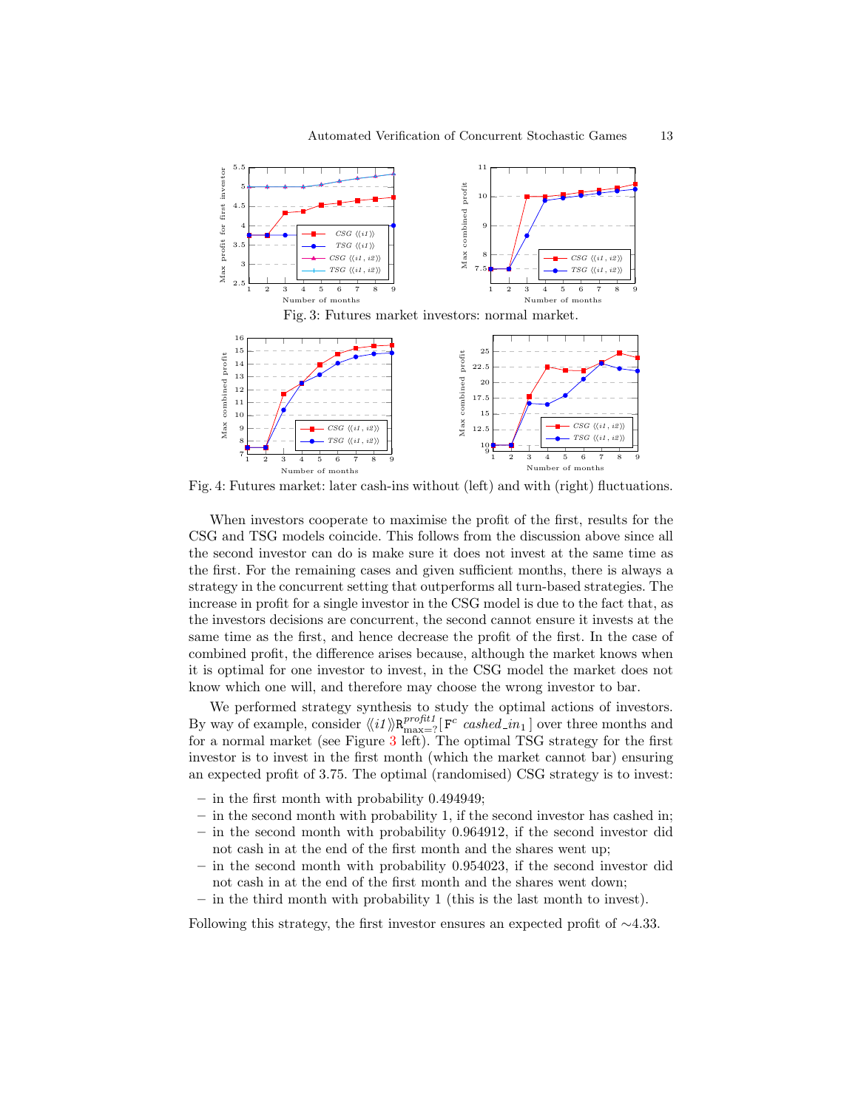<span id="page-13-0"></span>

<span id="page-13-1"></span>Fig. 4: Futures market: later cash-ins without (left) and with (right) fluctuations.

When investors cooperate to maximise the profit of the first, results for the CSG and TSG models coincide. This follows from the discussion above since all the second investor can do is make sure it does not invest at the same time as the first. For the remaining cases and given sufficient months, there is always a strategy in the concurrent setting that outperforms all turn-based strategies. The increase in profit for a single investor in the CSG model is due to the fact that, as the investors decisions are concurrent, the second cannot ensure it invests at the same time as the first, and hence decrease the profit of the first. In the case of combined profit, the difference arises because, although the market knows when it is optimal for one investor to invest, in the CSG model the market does not know which one will, and therefore may choose the wrong investor to bar.

We performed strategy synthesis to study the optimal actions of investors. By way of example, consider  $\langle\langle i1 \rangle \rangle \mathcal{R}_{\text{max}=?}^{profit1}$  [F<sup>c</sup> cashed in<sub>1</sub>] over three months and for a normal market (see Figure [3](#page-13-0) left). The optimal TSG strategy for the first investor is to invest in the first month (which the market cannot bar) ensuring an expected profit of 3.75. The optimal (randomised) CSG strategy is to invest:

- in the first month with probability 0.494949;
- in the second month with probability 1, if the second investor has cashed in;
- in the second month with probability 0.964912, if the second investor did not cash in at the end of the first month and the shares went up;
- in the second month with probability 0.954023, if the second investor did not cash in at the end of the first month and the shares went down;
- in the third month with probability 1 (this is the last month to invest).

Following this strategy, the first investor ensures an expected profit of  $\sim$ 4.33.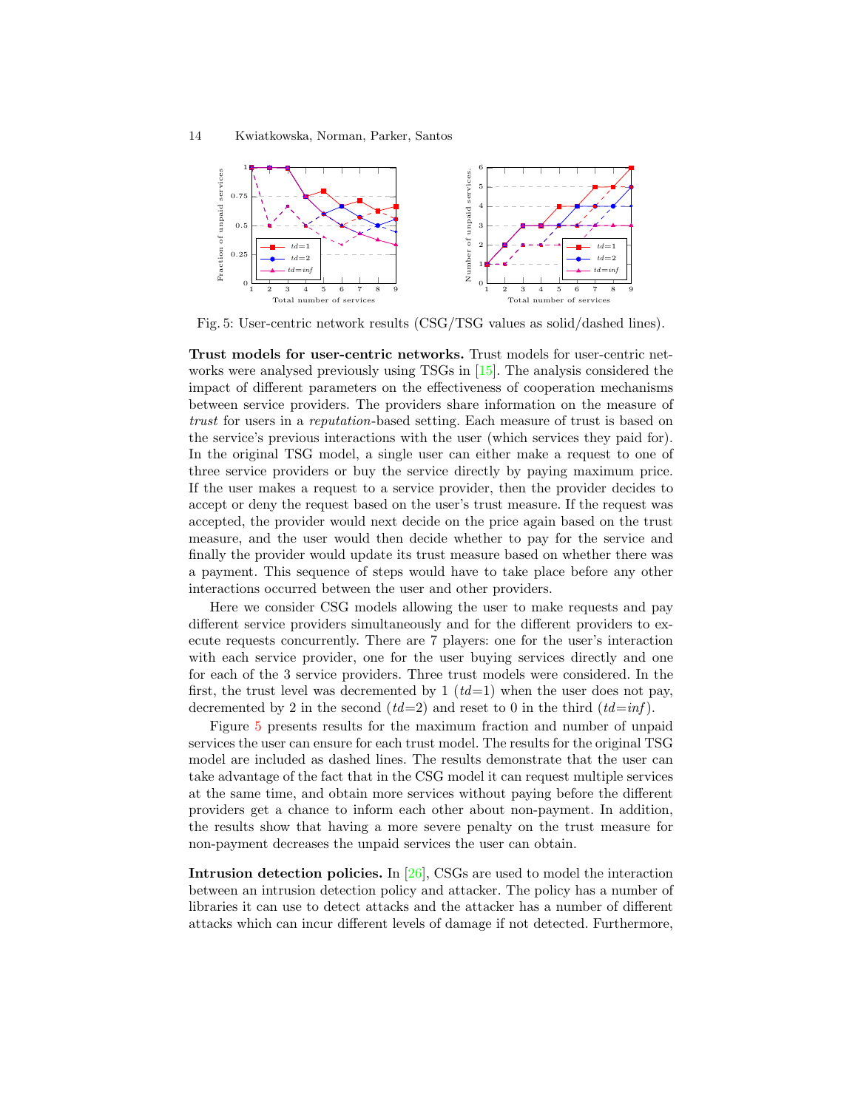<span id="page-14-0"></span>

Fig. 5: User-centric network results (CSG/TSG values as solid/dashed lines).

Trust models for user-centric networks. Trust models for user-centric networks were analysed previously using TSGs in [\[15\]](#page-16-24). The analysis considered the impact of different parameters on the effectiveness of cooperation mechanisms between service providers. The providers share information on the measure of trust for users in a reputation-based setting. Each measure of trust is based on the service's previous interactions with the user (which services they paid for). In the original TSG model, a single user can either make a request to one of three service providers or buy the service directly by paying maximum price. If the user makes a request to a service provider, then the provider decides to accept or deny the request based on the user's trust measure. If the request was accepted, the provider would next decide on the price again based on the trust measure, and the user would then decide whether to pay for the service and finally the provider would update its trust measure based on whether there was a payment. This sequence of steps would have to take place before any other interactions occurred between the user and other providers.

Here we consider CSG models allowing the user to make requests and pay different service providers simultaneously and for the different providers to execute requests concurrently. There are 7 players: one for the user's interaction with each service provider, one for the user buying services directly and one for each of the 3 service providers. Three trust models were considered. In the first, the trust level was decremented by  $1 (td=1)$  when the user does not pay, decremented by 2 in the second  $(td=2)$  and reset to 0 in the third  $(td=inf)$ .

Figure [5](#page-14-0) presents results for the maximum fraction and number of unpaid services the user can ensure for each trust model. The results for the original TSG model are included as dashed lines. The results demonstrate that the user can take advantage of the fact that in the CSG model it can request multiple services at the same time, and obtain more services without paying before the different providers get a chance to inform each other about non-payment. In addition, the results show that having a more severe penalty on the trust measure for non-payment decreases the unpaid services the user can obtain.

Intrusion detection policies. In [\[26\]](#page-16-25), CSGs are used to model the interaction between an intrusion detection policy and attacker. The policy has a number of libraries it can use to detect attacks and the attacker has a number of different attacks which can incur different levels of damage if not detected. Furthermore,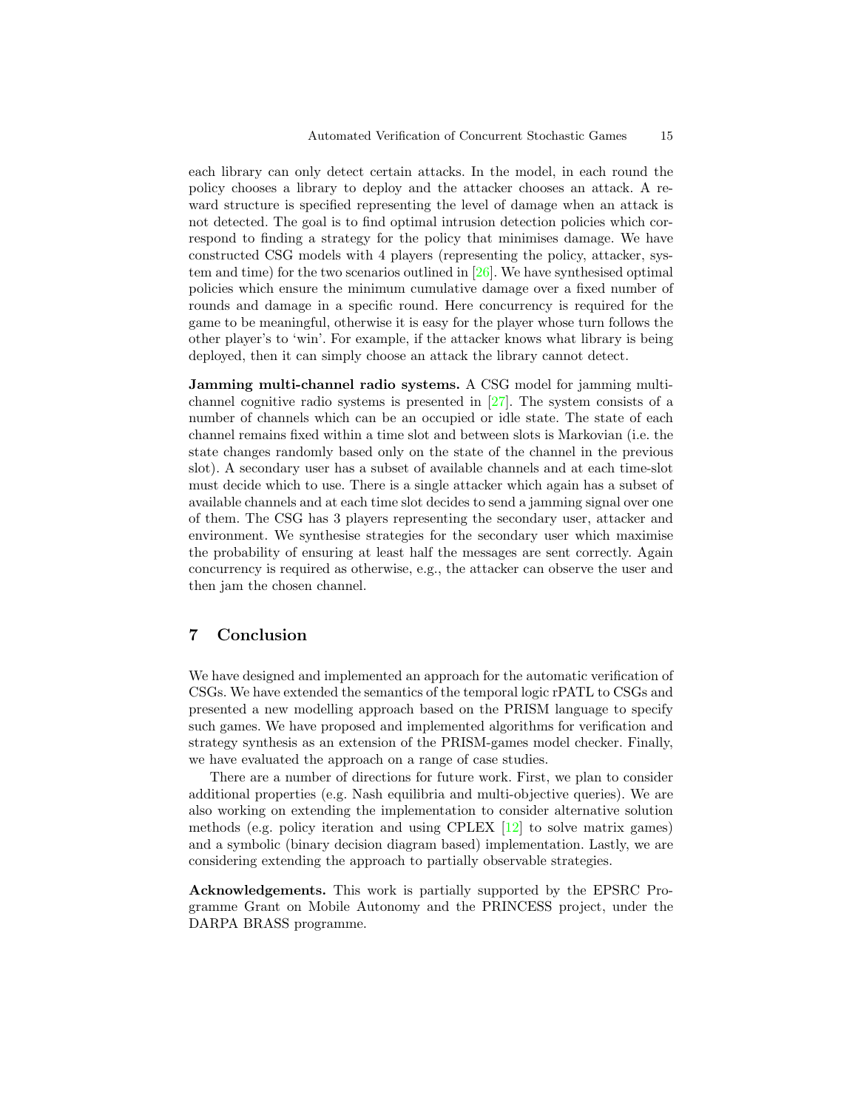each library can only detect certain attacks. In the model, in each round the policy chooses a library to deploy and the attacker chooses an attack. A reward structure is specified representing the level of damage when an attack is not detected. The goal is to find optimal intrusion detection policies which correspond to finding a strategy for the policy that minimises damage. We have constructed CSG models with 4 players (representing the policy, attacker, system and time) for the two scenarios outlined in [\[26\]](#page-16-25). We have synthesised optimal policies which ensure the minimum cumulative damage over a fixed number of rounds and damage in a specific round. Here concurrency is required for the game to be meaningful, otherwise it is easy for the player whose turn follows the other player's to 'win'. For example, if the attacker knows what library is being deployed, then it can simply choose an attack the library cannot detect.

Jamming multi-channel radio systems. A CSG model for jamming multichannel cognitive radio systems is presented in [\[27\]](#page-16-26). The system consists of a number of channels which can be an occupied or idle state. The state of each channel remains fixed within a time slot and between slots is Markovian (i.e. the state changes randomly based only on the state of the channel in the previous slot). A secondary user has a subset of available channels and at each time-slot must decide which to use. There is a single attacker which again has a subset of available channels and at each time slot decides to send a jamming signal over one of them. The CSG has 3 players representing the secondary user, attacker and environment. We synthesise strategies for the secondary user which maximise the probability of ensuring at least half the messages are sent correctly. Again concurrency is required as otherwise, e.g., the attacker can observe the user and then jam the chosen channel.

# 7 Conclusion

We have designed and implemented an approach for the automatic verification of CSGs. We have extended the semantics of the temporal logic rPATL to CSGs and presented a new modelling approach based on the PRISM language to specify such games. We have proposed and implemented algorithms for verification and strategy synthesis as an extension of the PRISM-games model checker. Finally, we have evaluated the approach on a range of case studies.

There are a number of directions for future work. First, we plan to consider additional properties (e.g. Nash equilibria and multi-objective queries). We are also working on extending the implementation to consider alternative solution methods (e.g. policy iteration and using CPLEX  $[12]$  to solve matrix games) and a symbolic (binary decision diagram based) implementation. Lastly, we are considering extending the approach to partially observable strategies.

Acknowledgements. This work is partially supported by the EPSRC Programme Grant on Mobile Autonomy and the PRINCESS project, under the DARPA BRASS programme.